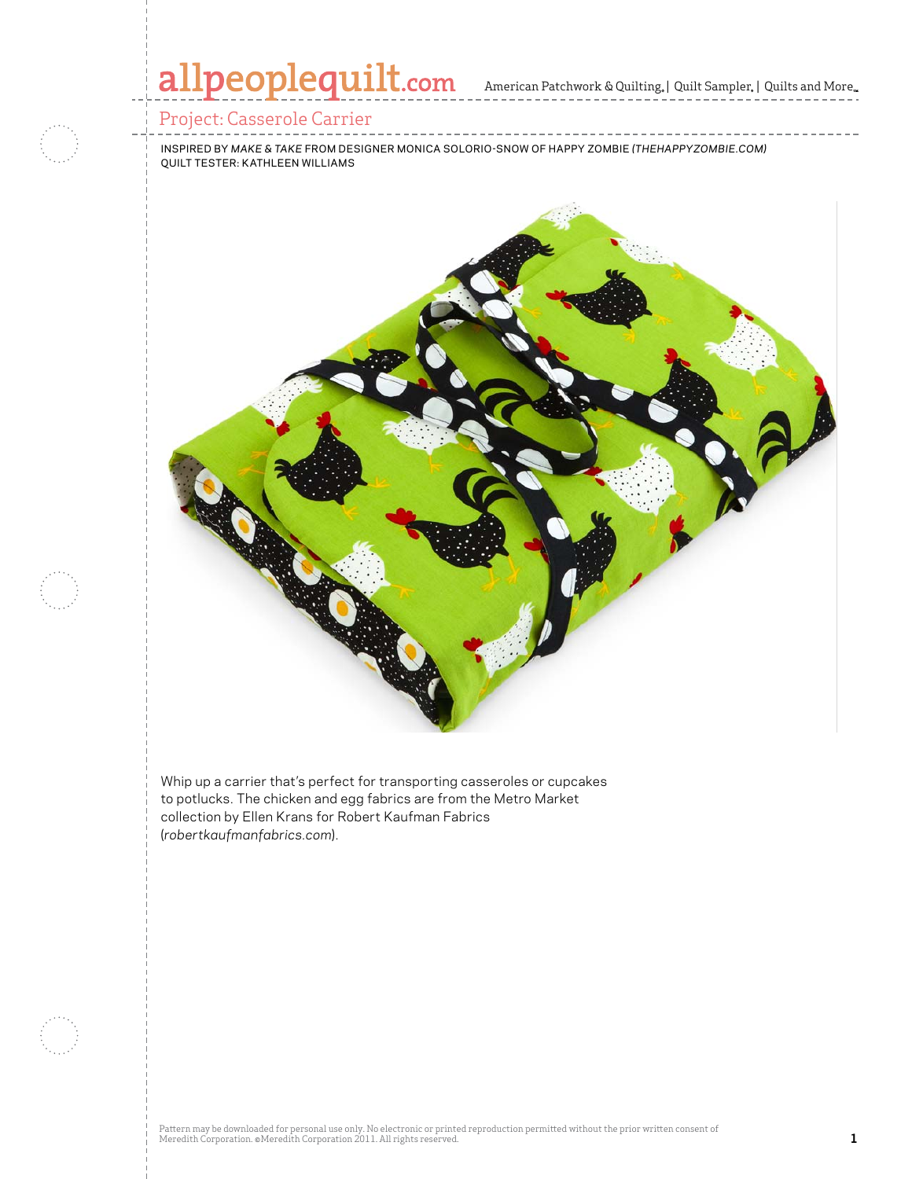## allpeoplequilt.com American Patchwork & Quilting, | Quilt Sampler, | Quilts and More..

### Project: Casserole Carrier

inspired by *Make & Take* from designer Monica solorio-snow of Happy Zombie *(Thehappyzombie.com)* quilt tester: Kathleen Williams



Whip up a carrier that's perfect for transporting casseroles or cupcakes to potlucks. The chicken and egg fabrics are from the Metro Market collection by Ellen Krans for Robert Kaufman Fabrics (*robertkaufmanfabrics.com*).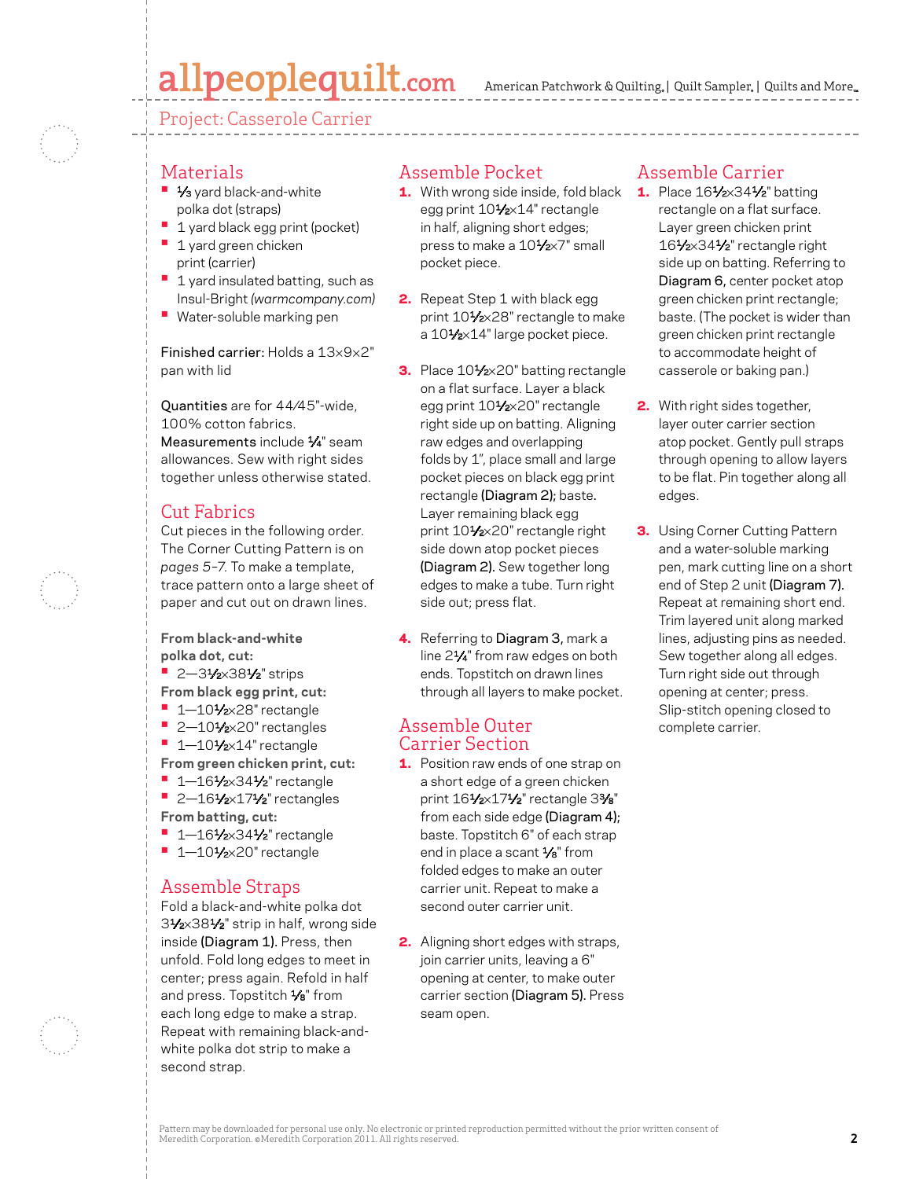# allpeoplequilt.com

Project: Casserole Carrier

#### Materials

- **•** 1/<sub>3</sub> yard black-and-white polka dot (straps)
- **1** 1 yard black egg print (pocket)
- 1 yard green chicken print (carrier)
- 1 yard insulated batting, such as Insul-Bright *(warmcompany.com)*
- **•** Water-soluble marking pen

Finished carrier: Holds a 13×9×2" pan with lid

Quantities are for 44⁄45"-wide, 100% cotton fabrics. Measurements include 1/4" seam allowances. Sew with right sides together unless otherwise stated.

### Cut Fabrics

Cut pieces in the following order. The Corner Cutting Pattern is on *pages 5–7*. To make a template, trace pattern onto a large sheet of paper and cut out on drawn lines.

**From black-and-white polka dot, cut:**

- **•** 2-31⁄2×381⁄2" strips
- **From black egg print, cut:**
- **•**  1—101⁄2×28" rectangle
- **•** 2-101/2×20" rectangles
- **•** 1-101/2×14" rectangle
- **From green chicken print, cut:**
- **•** 1-161/2×341/2" rectangle **•** 2-161/2×171/2" rectangles
- **From batting, cut:**
- **•** 1-161/2×341/2" rectangle
- **•** 1-101/2×20" rectangle

### Assemble Straps

Fold a black-and-white polka dot 31⁄2×381⁄2" strip in half, wrong side inside (Diagram 1). Press, then unfold. Fold long edges to meet in center; press again. Refold in half and press. Topstitch 1/8" from each long edge to make a strap. Repeat with remaining black-andwhite polka dot strip to make a second strap.

### Assemble Pocket

- **1.** With wrong side inside, fold black egg print 101/2×14" rectangle in half, aligning short edges; press to make a 10<sup>1/2×7</sup>" small pocket piece.
- 2. Repeat Step 1 with black egg print 101/2×28" rectangle to make a 101/2×14" large pocket piece.
- 3. Place 101/2×20" batting rectangle on a flat surface. Layer a black egg print 101/2×20" rectangle right side up on batting. Aligning raw edges and overlapping folds by 1", place small and large pocket pieces on black egg print rectangle (Diagram 2); baste. Layer remaining black egg print 101/2×20" rectangle right side down atop pocket pieces (Diagram 2). Sew together long edges to make a tube. Turn right side out; press flat.
- 4. Referring to Diagram 3, mark a line 21⁄4" from raw edges on both ends. Topstitch on drawn lines through all layers to make pocket.

#### Assemble Outer Carrier Section

- **1.** Position raw ends of one strap on a short edge of a green chicken print 161⁄2×171⁄2" rectangle 33⁄8" from each side edge (Diagram 4); baste. Topstitch 6" of each strap end in place a scant  $\frac{1}{8}$ " from folded edges to make an outer carrier unit. Repeat to make a second outer carrier unit.
- 2. Aligning short edges with straps, join carrier units, leaving a 6" opening at center, to make outer carrier section (Diagram 5). Press seam open.

### Assemble Carrier

- 1. Place 161⁄2×341⁄2" batting rectangle on a flat surface. Layer green chicken print 161⁄2×341⁄2" rectangle right side up on batting. Referring to Diagram 6, center pocket atop green chicken print rectangle; baste. (The pocket is wider than green chicken print rectangle to accommodate height of casserole or baking pan.)
- 2. With right sides together, layer outer carrier section atop pocket. Gently pull straps through opening to allow layers to be flat. Pin together along all edges.
- **3.** Using Corner Cutting Pattern and a water-soluble marking pen, mark cutting line on a short end of Step 2 unit (Diagram 7). Repeat at remaining short end. Trim layered unit along marked lines, adjusting pins as needed. Sew together along all edges. Turn right side out through opening at center; press. Slip-stitch opening closed to complete carrier.

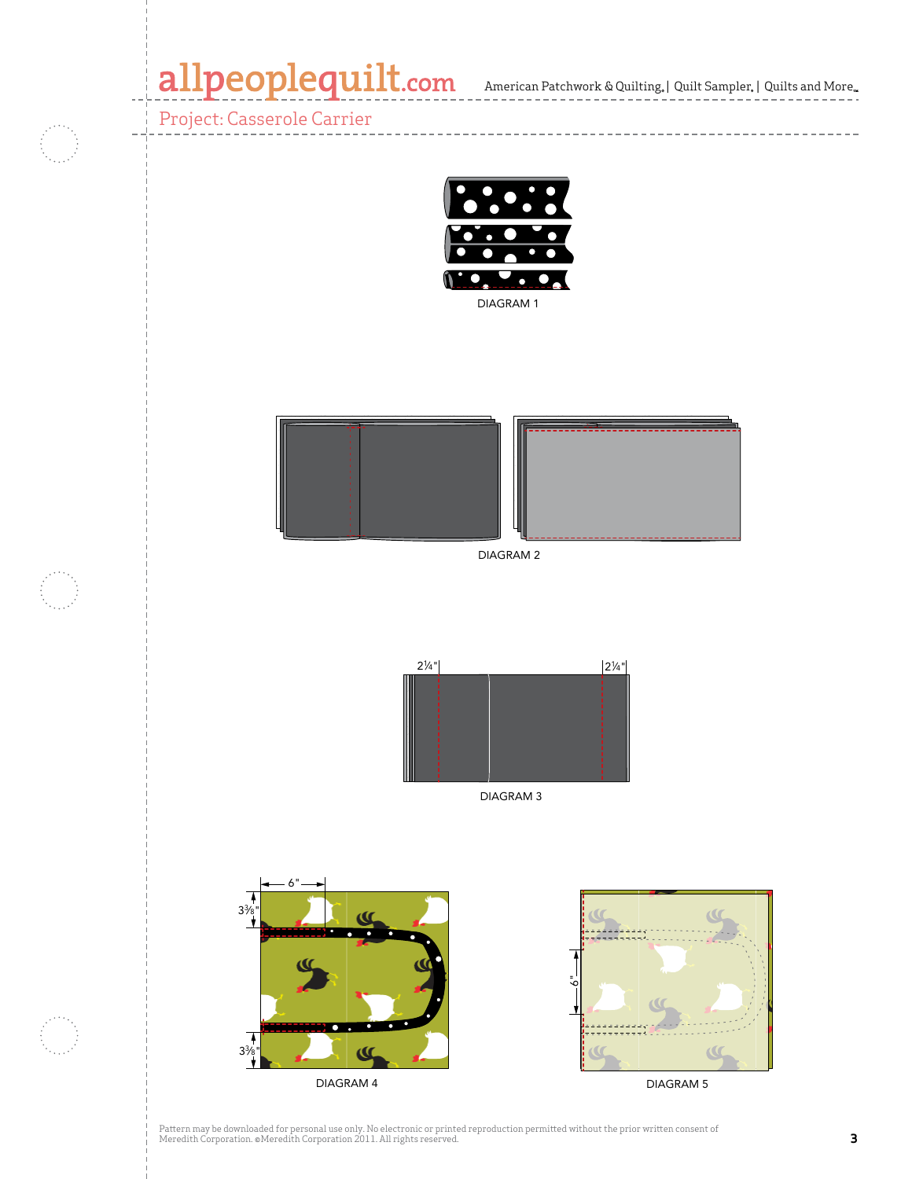## allpeoplequilt.com American Patchwork & Quilting, | Quilt Sampler, | Quilts and More...

Project: Casserole Carrier





DIAGRAM 2



DIAGRAM 3



Pattern may be downloaded for personal use only. No electronic or printed reproduction permitted without the prior written consent of Meredith Corporation. ©Meredith Corporation 2011. All rights reserved. **3**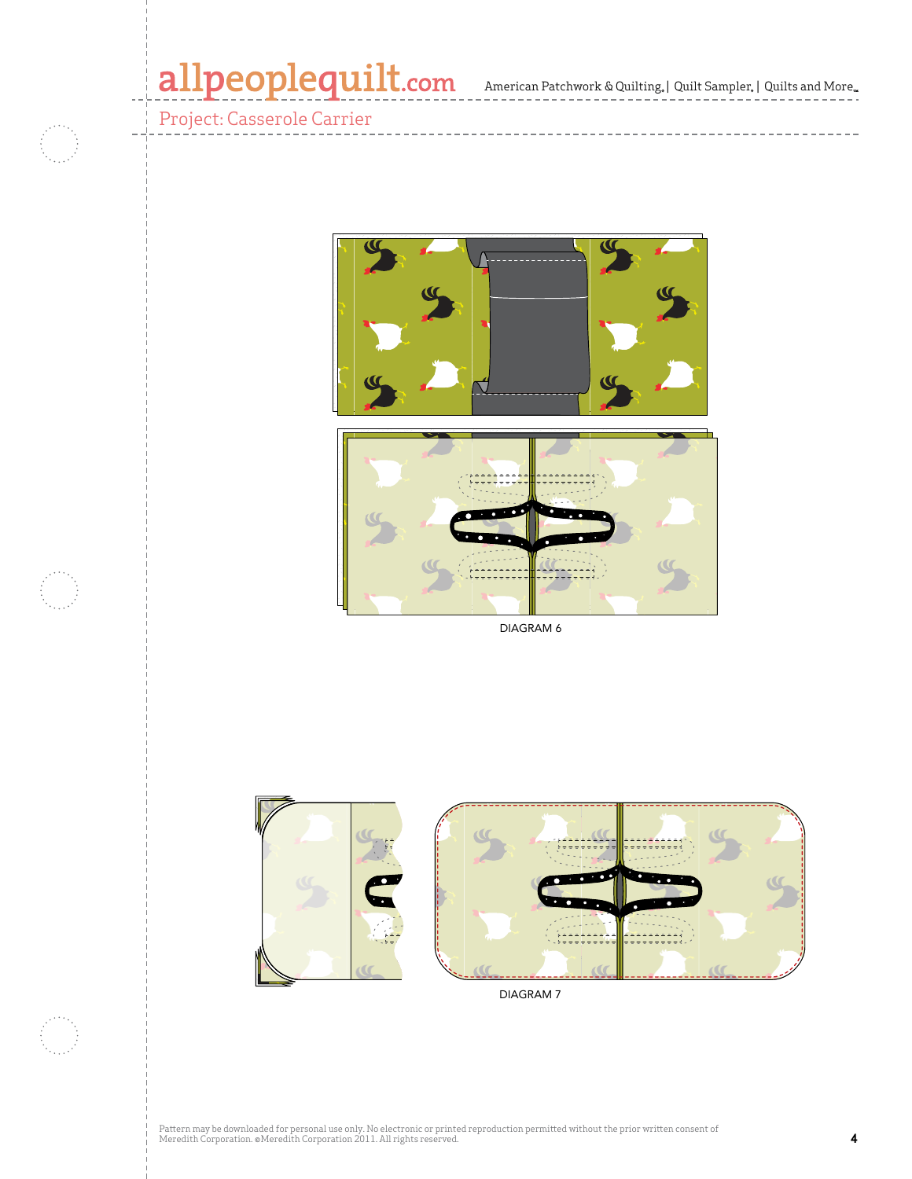American Patchwork & Quilting, | Quilt Sampler, | Quilts and More,,  $\text{re}^{\text{m}}$ 

> CMR 4376010  $\Box$

Project: Casserole Carrier

f i



DIAGRAM 6



Pattern may be downloaded for personal use only. No electronic or printed reproduction permitted without the prior written consent of Meredith Corporation. ©Meredith Corporation 2011. All rights reserved. **4**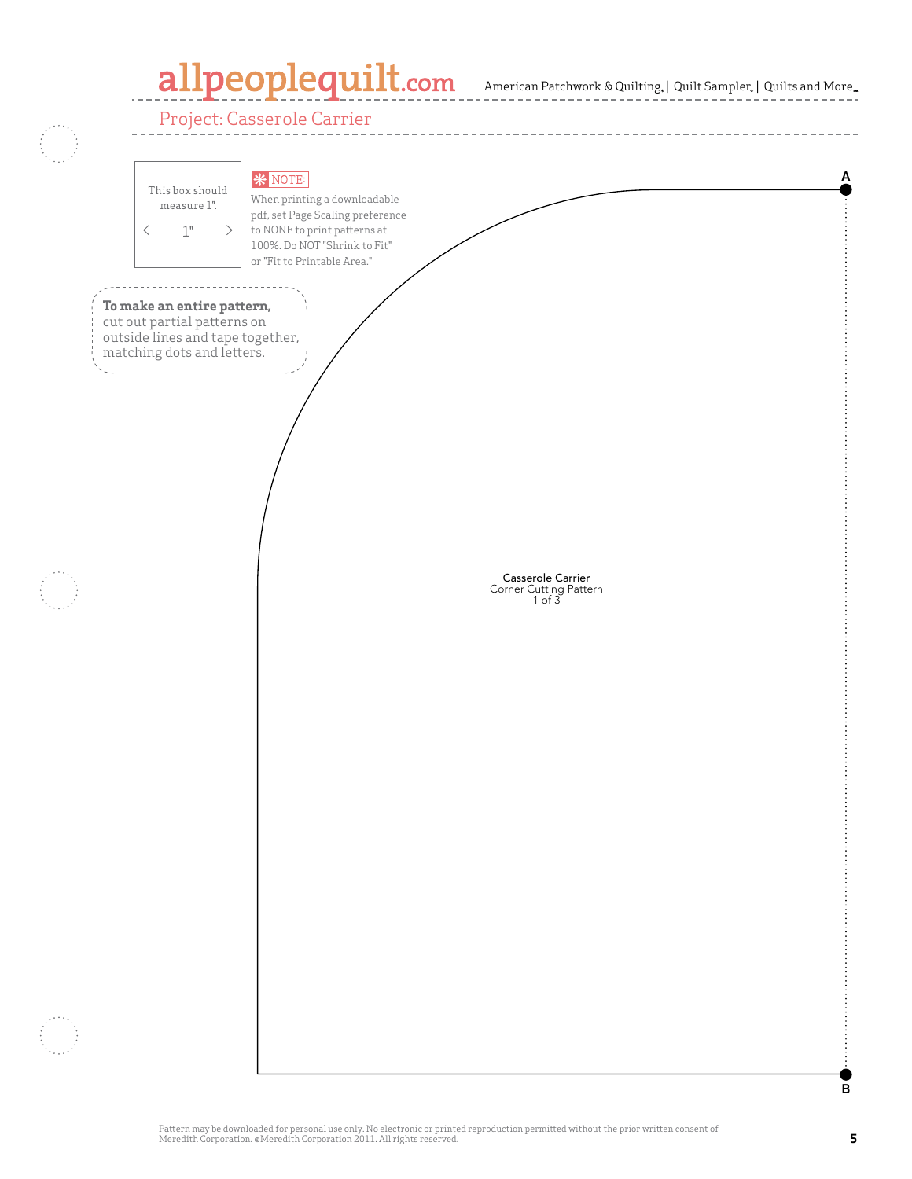# allpeoplequilt.com

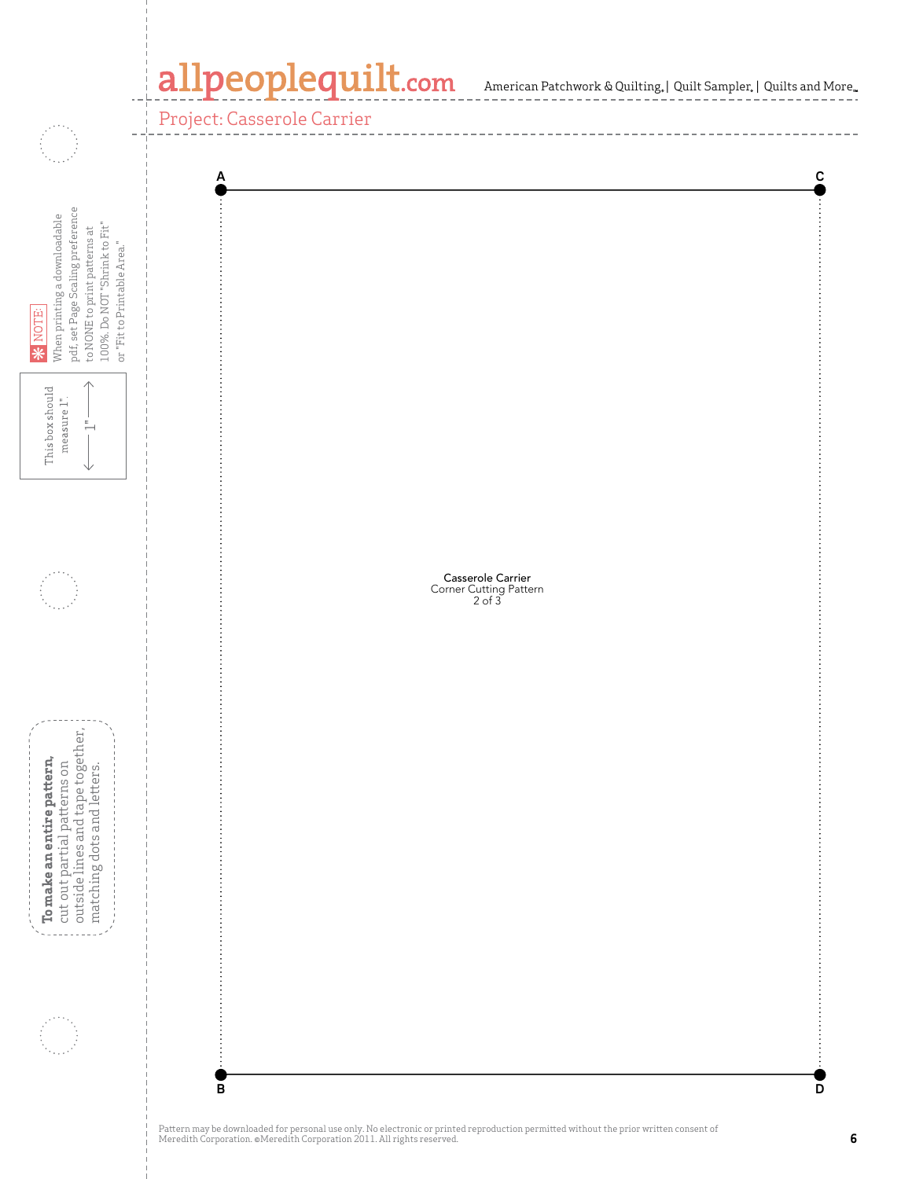## allpeoplequilt.com American Patchwork & Quilting, | Quilt Sampler, | Quilts and More,

Project: Casserole Carrier

ym,

\_\_\_\_\_\_\_\_\_\_\_\_\_\_\_

| pdf, set Page Scaling preference<br>When printing a downloadable<br>100%. Do NOT "Shrink to Fit"<br>to NONE to print patterns at<br>or "Fit to Printable Area."<br>* NOTE:       | $\tilde{c}$<br>А                                             |
|----------------------------------------------------------------------------------------------------------------------------------------------------------------------------------|--------------------------------------------------------------|
| This box should<br>measure 1".<br>$\frac{1}{1-\epsilon}$<br>◡                                                                                                                    |                                                              |
|                                                                                                                                                                                  | <b>Casserole Carrier</b><br>Corner Cutting Pattern<br>2 of 3 |
| $\left\{\begin{array}{l}$ To make an entire pattern,<br>$\vdots$ cut out partial patterns on<br>$\vdots$ outside lines and tape together,<br>$\vdots$ matching dots and letters. |                                                              |
|                                                                                                                                                                                  | $\overline{D}$<br>$\overline{B}$                             |